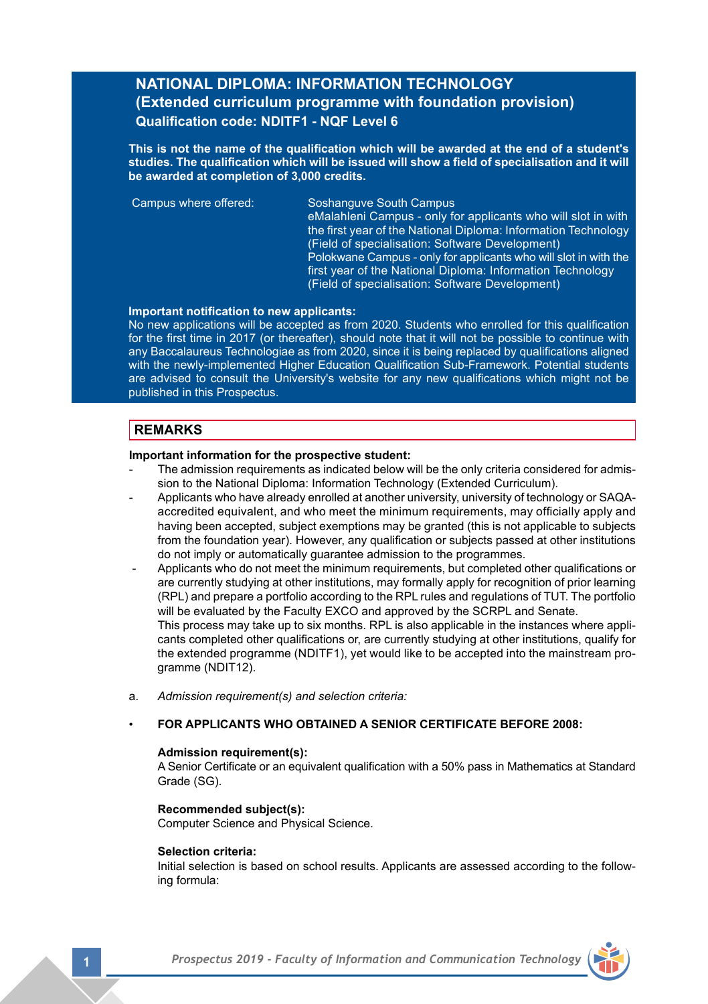# **NATIONAL DIPLOMA: INFORMATION TECHNOLOGY (Extended curriculum programme with foundation provision) Qualification code: NDITF1 - NQF Level 6**

**This is not the name of the qualification which will be awarded at the end of a student's studies. The qualification which will be issued will show a field of specialisation and it will be awarded at completion of 3,000 credits.**

 Campus where offered: Soshanguve South Campus eMalahleni Campus - only for applicants who will slot in with the first year of the National Diploma: Information Technology (Field of specialisation: Software Development) Polokwane Campus - only for applicants who will slot in with the first year of the National Diploma: Information Technology (Field of specialisation: Software Development)

#### **Important notification to new applicants:**

No new applications will be accepted as from 2020. Students who enrolled for this qualification for the first time in 2017 (or thereafter), should note that it will not be possible to continue with any Baccalaureus Technologiae as from 2020, since it is being replaced by qualifications aligned with the newly-implemented Higher Education Qualification Sub-Framework. Potential students are advised to consult the University's website for any new qualifications which might not be published in this Prospectus.

## **REMARKS**

### **Important information for the prospective student:**

- The admission requirements as indicated below will be the only criteria considered for admission to the National Diploma: Information Technology (Extended Curriculum).
- Applicants who have already enrolled at another university, university of technology or SAQA- accredited equivalent, and who meet the minimum requirements, may officially apply and having been accepted, subject exemptions may be granted (this is not applicable to subjects from the foundation year). However, any qualification or subjects passed at other institutions do not imply or automatically guarantee admission to the programmes.
- Applicants who do not meet the minimum requirements, but completed other qualifications or are currently studying at other institutions, may formally apply for recognition of prior learning (RPL) and prepare a portfolio according to the RPL rules and regulations of TUT. The portfolio will be evaluated by the Faculty EXCO and approved by the SCRPL and Senate. This process may take up to six months. RPL is also applicable in the instances where applicants completed other qualifications or, are currently studying at other institutions, qualify for the extended programme (NDITF1), yet would like to be accepted into the mainstream programme (NDIT12).
- a. *Admission requirement(s) and selection criteria:*
- **FOR APPLICANTS WHO OBTAINED A SENIOR CERTIFICATE BEFORE 2008:**

#### **Admission requirement(s):**

A Senior Certificate or an equivalent qualification with a 50% pass in Mathematics at Standard Grade (SG).

### **Recommended subject(s):**

Computer Science and Physical Science.

#### **Selection criteria:**

Initial selection is based on school results. Applicants are assessed according to the following formula: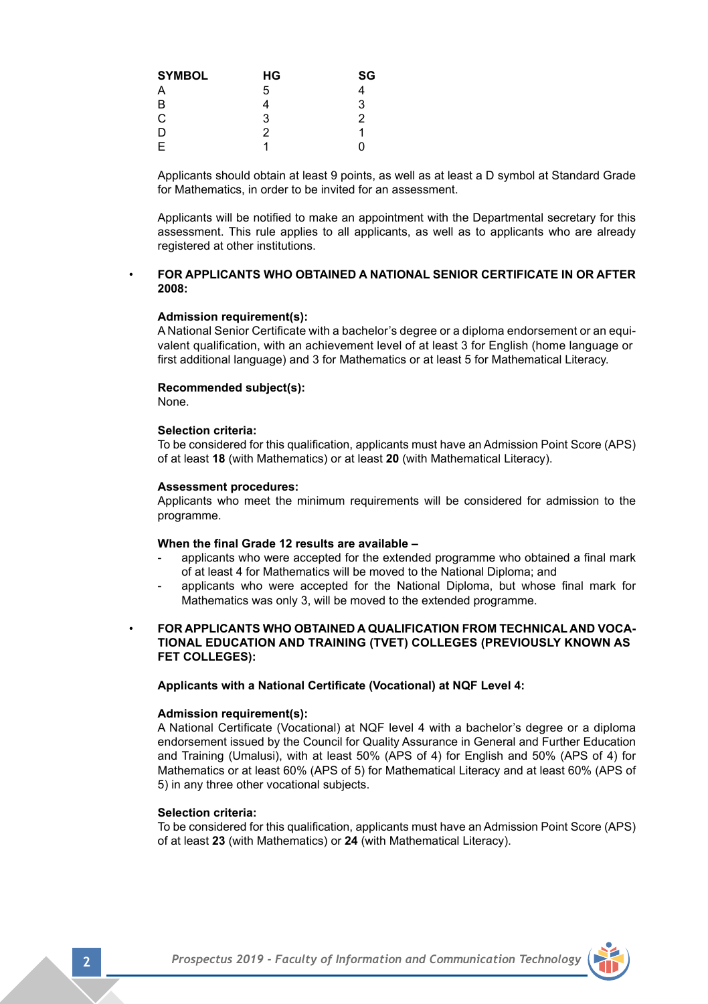| <b>SYMBOL</b> | НG | SG |
|---------------|----|----|
| A             | 5  | 4  |
| B             | 4  | 3  |
| C             | 3  | 2  |
| D             | 2  |    |
| E             |    | n  |

Applicants should obtain at least 9 points, as well as at least a D symbol at Standard Grade for Mathematics, in order to be invited for an assessment.

Applicants will be notified to make an appointment with the Departmental secretary for this assessment. This rule applies to all applicants, as well as to applicants who are already registered at other institutions.

## • **FOR APPLICANTS WHO OBTAINED A NATIONAL SENIOR CERTIFICATE IN OR AFTER 2008:**

### **Admission requirement(s):**

A National Senior Certificate with a bachelor's degree or a diploma endorsement or an equi- valent qualification, with an achievement level of at least 3 for English (home language or first additional language) and 3 for Mathematics or at least 5 for Mathematical Literacy.

#### **Recommended subject(s):**

None.

### **Selection criteria:**

To be considered for this qualification, applicants must have an Admission Point Score (APS) of at least **18** (with Mathematics) or at least **20** (with Mathematical Literacy).

#### **Assessment procedures:**

Applicants who meet the minimum requirements will be considered for admission to the programme.

#### **When the final Grade 12 results are available –**

- applicants who were accepted for the extended programme who obtained a final mark of at least 4 for Mathematics will be moved to the National Diploma; and
- applicants who were accepted for the National Diploma, but whose final mark for Mathematics was only 3, will be moved to the extended programme.
- **FOR APPLICANTS WHO OBTAINED A QUALIFICATION FROM TECHNICAL AND VOCA- TIONAL EDUCATION AND TRAINING (TVET) COLLEGES (PREVIOUSLY KNOWN AS FET COLLEGES):**

#### **Applicants with a National Certificate (Vocational) at NQF Level 4:**

#### **Admission requirement(s):**

A National Certificate (Vocational) at NQF level 4 with a bachelor's degree or a diploma endorsement issued by the Council for Quality Assurance in General and Further Education and Training (Umalusi), with at least 50% (APS of 4) for English and 50% (APS of 4) for Mathematics or at least 60% (APS of 5) for Mathematical Literacy and at least 60% (APS of 5) in any three other vocational subjects.

#### **Selection criteria:**

To be considered for this qualification, applicants must have an Admission Point Score (APS) of at least **23** (with Mathematics) or **24** (with Mathematical Literacy).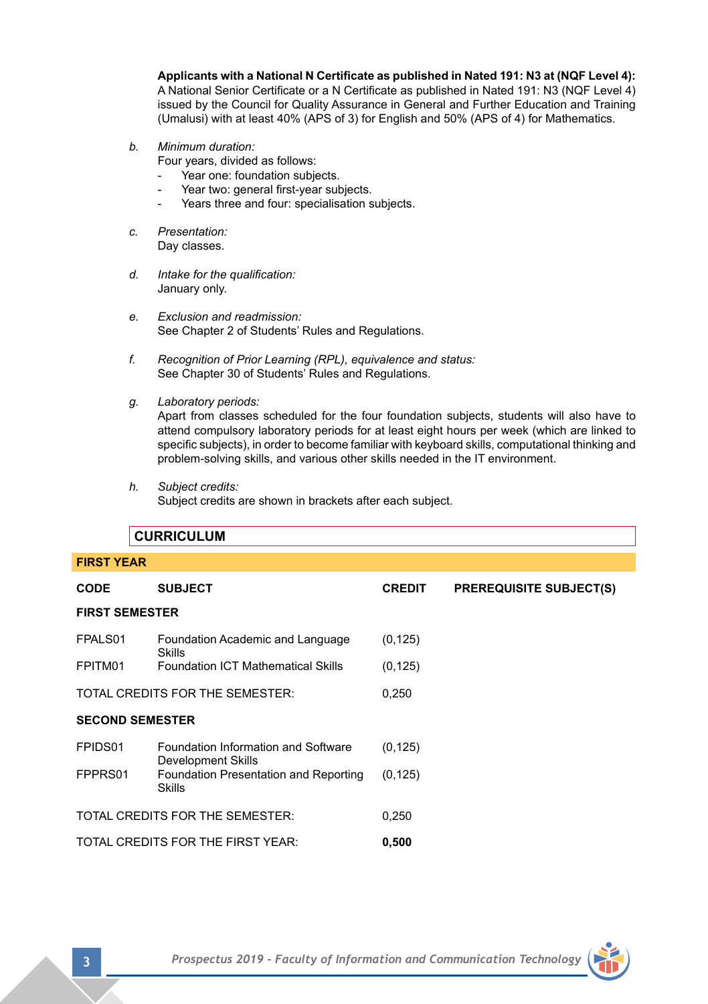**Applicants with a National N Certificate as published in Nated 191: N3 at (NQF Level 4):**

A National Senior Certificate or a N Certificate as published in Nated 191: N3 (NQF Level 4) issued by the Council for Quality Assurance in General and Further Education and Training (Umalusi) with at least 40% (APS of 3) for English and 50% (APS of 4) for Mathematics.

- *b. Minimum duration:* 
	- Four years, divided as follows:
	- Year one: foundation subjects.
	- Year two: general first-year subjects.
	- Years three and four: specialisation subjects.
- *c. Presentation:*  Day classes.
- *d. Intake for the qualification:* January only.
- *e. Exclusion and readmission:* See Chapter 2 of Students' Rules and Regulations.
- *f. Recognition of Prior Learning (RPL), equivalence and status:* See Chapter 30 of Students' Rules and Regulations.
- *g. Laboratory periods:*

Apart from classes scheduled for the four foundation subjects, students will also have to attend compulsory laboratory periods for at least eight hours per week (which are linked to specific subjects), in order to become familiar with keyboard skills, computational thinking and problem-solving skills, and various other skills needed in the IT environment.

*h. Subject credits:*

Subject credits are shown in brackets after each subject.

|                                   | <b>CURRICULUM</b>                                         |               |                                |  |  |
|-----------------------------------|-----------------------------------------------------------|---------------|--------------------------------|--|--|
| <b>FIRST YEAR</b>                 |                                                           |               |                                |  |  |
| <b>CODE</b>                       | <b>SUBJECT</b>                                            | <b>CREDIT</b> | <b>PREREQUISITE SUBJECT(S)</b> |  |  |
| <b>FIRST SEMESTER</b>             |                                                           |               |                                |  |  |
| FPALS01                           | Foundation Academic and Language<br>Skills                | (0, 125)      |                                |  |  |
| FPITM01                           | <b>Foundation ICT Mathematical Skills</b>                 | (0, 125)      |                                |  |  |
|                                   | TOTAL CREDITS FOR THE SEMESTER:                           | 0,250         |                                |  |  |
| <b>SECOND SEMESTER</b>            |                                                           |               |                                |  |  |
| FPIDS01                           | Foundation Information and Software<br>Development Skills | (0, 125)      |                                |  |  |
| FPPRS01                           | Foundation Presentation and Reporting<br><b>Skills</b>    | (0, 125)      |                                |  |  |
|                                   | TOTAL CREDITS FOR THE SEMESTER:                           | 0,250         |                                |  |  |
| TOTAL CREDITS FOR THE FIRST YEAR: |                                                           | 0,500         |                                |  |  |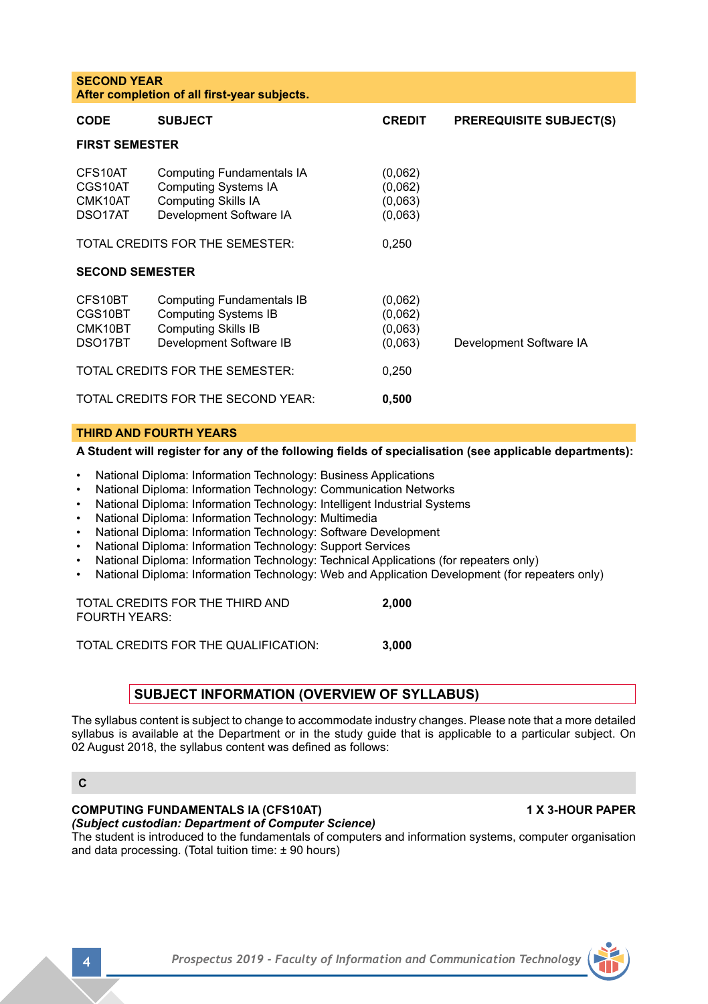| <b>SECOND YEAR</b><br>After completion of all first-year subjects. |                                                                                                                          |                                          |                                |  |  |
|--------------------------------------------------------------------|--------------------------------------------------------------------------------------------------------------------------|------------------------------------------|--------------------------------|--|--|
| <b>CODE</b>                                                        | <b>SUBJECT</b>                                                                                                           | <b>CREDIT</b>                            | <b>PREREQUISITE SUBJECT(S)</b> |  |  |
| <b>FIRST SEMESTER</b>                                              |                                                                                                                          |                                          |                                |  |  |
| CES10AT<br>CGS10AT<br>CMK10AT<br>DSO17AT                           | Computing Fundamentals IA<br><b>Computing Systems IA</b><br><b>Computing Skills IA</b><br>Development Software IA        | (0,062)<br>(0,062)<br>(0,063)<br>(0,063) |                                |  |  |
|                                                                    | TOTAL CREDITS FOR THE SEMESTER:                                                                                          | 0,250                                    |                                |  |  |
| <b>SECOND SEMESTER</b>                                             |                                                                                                                          |                                          |                                |  |  |
| CFS10BT<br>CGS10BT<br>CMK10BT<br>DSO17BT                           | <b>Computing Fundamentals IB</b><br><b>Computing Systems IB</b><br><b>Computing Skills IB</b><br>Development Software IB | (0,062)<br>(0,062)<br>(0,063)<br>(0.063) | Development Software IA        |  |  |
| TOTAL CREDITS FOR THE SEMESTER:                                    |                                                                                                                          | 0,250                                    |                                |  |  |
| TOTAL CREDITS FOR THE SECOND YEAR:                                 |                                                                                                                          | 0,500                                    |                                |  |  |

### **THIRD AND FOURTH YEARS**

## **A Student will register for any of the following fields of specialisation (see applicable departments):**

- **National Diploma: Information Technology: Business Applications**
- National Diploma: Information Technology: Communication Networks
- National Diploma: Information Technology: Intelligent Industrial Systems
- National Diploma: Information Technology: Multimedia
- National Diploma: Information Technology: Software Development
- National Diploma: Information Technology: Support Services
- National Diploma: Information Technology: Technical Applications (for repeaters only)
- National Diploma: Information Technology: Web and Application Development (for repeaters only)

TOTAL CREDITS FOR THE THIRD AND **2,000** FOURTH YEARS: 

TOTAL CREDITS FOR THE QUALIFICATION: **3,000**

## **SUBJECT INFORMATION (OVERVIEW OF SYLLABUS)**

The syllabus content is subject to change to accommodate industry changes. Please note that a more detailed syllabus is available at the Department or in the study guide that is applicable to a particular subject. On 02 August 2018, the syllabus content was defined as follows:

**C**

### **COMPUTING FUNDAMENTALS IA (CFS10AT) 1 X 3-HOUR PAPER**

*(Subject custodian: Department of Computer Science)*

The student is introduced to the fundamentals of computers and information systems, computer organisation and data processing. (Total tuition time: ± 90 hours)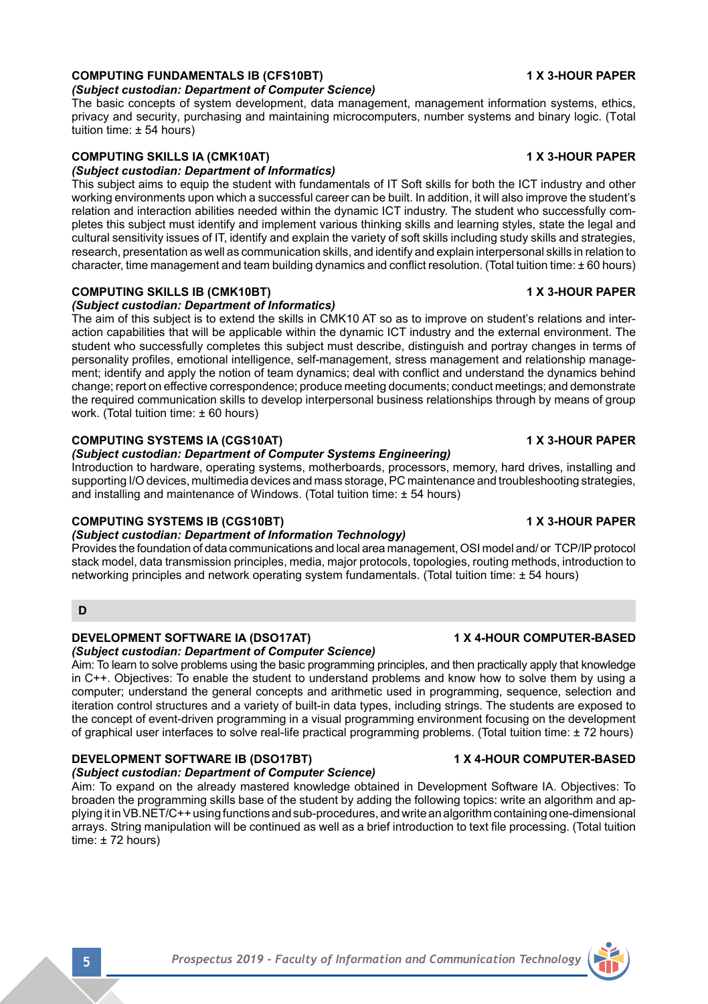# **COMPUTING FUNDAMENTALS IB (CFS10BT) 1 X 3-HOUR PAPER**

## *(Subject custodian: Department of Computer Science)*

The basic concepts of system development, data management, management information systems, ethics, privacy and security, purchasing and maintaining microcomputers, number systems and binary logic. (Total tuition time: ± 54 hours)

# **COMPUTING SKILLS IA (CMK10AT) 1 X 3-HOUR PAPER**

## *(Subject custodian: Department of Informatics)*

This subject aims to equip the student with fundamentals of IT Soft skills for both the ICT industry and other working environments upon which a successful career can be built. In addition, it will also improve the student's relation and interaction abilities needed within the dynamic ICT industry. The student who successfully completes this subject must identify and implement various thinking skills and learning styles, state the legal and cultural sensitivity issues of IT, identify and explain the variety of soft skills including study skills and strategies, research, presentation as well as communication skills, and identify and explain interpersonal skills in relation to character, time management and team building dynamics and conflict resolution. (Total tuition time: ± 60 hours)

# **COMPUTING SKILLS IB (CMK10BT) 1 X 3-HOUR PAPER**

## *(Subject custodian: Department of Informatics)*

The aim of this subject is to extend the skills in CMK10 AT so as to improve on student's relations and interaction capabilities that will be applicable within the dynamic ICT industry and the external environment. The student who successfully completes this subject must describe, distinguish and portray changes in terms of personality profiles, emotional intelligence, self-management, stress management and relationship management; identify and apply the notion of team dynamics; deal with conflict and understand the dynamics behind change; report on effective correspondence; produce meeting documents; conduct meetings; and demonstrate the required communication skills to develop interpersonal business relationships through by means of group work. (Total tuition time: ± 60 hours)

## **COMPUTING SYSTEMS IA (CGS10AT) 1 X 3-HOUR PAPER**

## *(Subject custodian: Department of Computer Systems Engineering)*

Introduction to hardware, operating systems, motherboards, processors, memory, hard drives, installing and supporting I/O devices, multimedia devices and mass storage, PC maintenance and troubleshooting strategies, and installing and maintenance of Windows. (Total tuition time: ± 54 hours)

## **COMPUTING SYSTEMS IB (CGS10BT) 1 X 3-HOUR PAPER**

## *(Subject custodian: Department of Information Technology)*

Provides the foundation of data communications and local area management, OSI model and/ or TCP/IP protocol stack model, data transmission principles, media, major protocols, topologies, routing methods, introduction to networking principles and network operating system fundamentals. (Total tuition time: ± 54 hours)

## **D**

# **DEVELOPMENT SOFTWARE IA (DSO17AT) 1 X 4-HOUR COMPUTER-BASED**

*(Subject custodian: Department of Computer Science)*

Aim: To learn to solve problems using the basic programming principles, and then practically apply that knowledge in C++. Objectives: To enable the student to understand problems and know how to solve them by using a computer; understand the general concepts and arithmetic used in programming, sequence, selection and iteration control structures and a variety of built-in data types, including strings. The students are exposed to the concept of event-driven programming in a visual programming environment focusing on the development of graphical user interfaces to solve real-life practical programming problems. (Total tuition time: ± 72 hours)

## **DEVELOPMENT SOFTWARE IB (DSO17BT) 1 X 4-HOUR COMPUTER-BASED**

*(Subject custodian: Department of Computer Science)*

Aim: To expand on the already mastered knowledge obtained in Development Software IA. Objectives: To broaden the programming skills base of the student by adding the following topics: write an algorithm and applying it inVB.NET/C++ using functions and sub-procedures, and write an algorithm containing one-dimensional arrays. String manipulation will be continued as well as a brief introduction to text file processing. (Total tuition time: ± 72 hours)